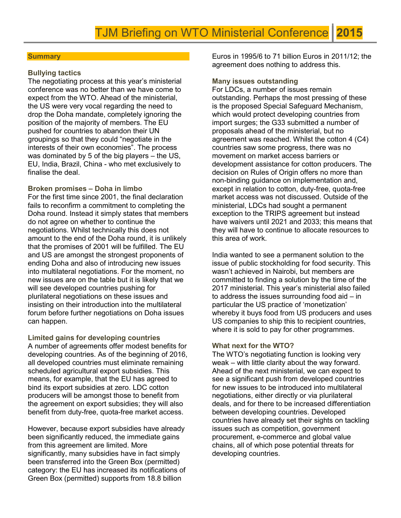#### **Summary**

## Bullying tactics

The negotiating process at this year's ministerial conference was no better than we have come to expect from the WTO. Ahead of the ministerial, the US were very vocal regarding the need to drop the Doha mandate, completely ignoring the position of the majority of members. The EU pushed for countries to abandon their UN groupings so that they could "negotiate in the interests of their own economies". The process was dominated by 5 of the big players – the US, EU, India, Brazil, China - who met exclusively to finalise the deal.

#### Broken promises – Doha in limbo

For the first time since 2001, the final declaration fails to reconfirm a commitment to completing the Doha round. Instead it simply states that members do not agree on whether to continue the negotiations. Whilst technically this does not amount to the end of the Doha round, it is unlikely that the promises of 2001 will be fulfilled. The EU and US are amongst the strongest proponents of ending Doha and also of introducing new issues into multilateral negotiations. For the moment, no new issues are on the table but it is likely that we will see developed countries pushing for plurilateral negotiations on these issues and insisting on their introduction into the multilateral forum before further negotiations on Doha issues can happen.

#### Limited gains for developing countries

A number of agreements offer modest benefits for developing countries. As of the beginning of 2016, all developed countries must eliminate remaining scheduled agricultural export subsidies. This means, for example, that the EU has agreed to bind its export subsidies at zero. LDC cotton producers will be amongst those to benefit from the agreement on export subsidies; they will also benefit from duty-free, quota-free market access.

However, because export subsidies have already been significantly reduced, the immediate gains from this agreement are limited. More significantly, many subsidies have in fact simply been transferred into the Green Box (permitted) category: the EU has increased its notifications of Green Box (permitted) supports from 18.8 billion

Euros in 1995/6 to 71 billion Euros in 2011/12; the agreement does nothing to address this.

#### Many issues outstanding

For LDCs, a number of issues remain outstanding. Perhaps the most pressing of these is the proposed Special Safeguard Mechanism, which would protect developing countries from import surges; the G33 submitted a number of proposals ahead of the ministerial, but no agreement was reached. Whilst the cotton 4 (C4) countries saw some progress, there was no movement on market access barriers or development assistance for cotton producers. The decision on Rules of Origin offers no more than non-binding guidance on implementation and, except in relation to cotton, duty-free, quota-free market access was not discussed. Outside of the ministerial, LDCs had sought a permanent exception to the TRIPS agreement but instead have waivers until 2021 and 2033; this means that they will have to continue to allocate resources to this area of work.

India wanted to see a permanent solution to the issue of public stockholding for food security. This wasn't achieved in Nairobi, but members are committed to finding a solution by the time of the 2017 ministerial. This year's ministerial also failed to address the issues surrounding food aid – in particular the US practice of 'monetization' whereby it buys food from US producers and uses US companies to ship this to recipient countries, where it is sold to pay for other programmes.

#### What next for the WTO?

The WTO's negotiating function is looking very weak – with little clarity about the way forward. Ahead of the next ministerial, we can expect to see a significant push from developed countries for new issues to be introduced into multilateral negotiations, either directly or via plurilateral deals, and for there to be increased differentiation between developing countries. Developed countries have already set their sights on tackling issues such as competition, government procurement, e-commerce and global value chains, all of which pose potential threats for developing countries.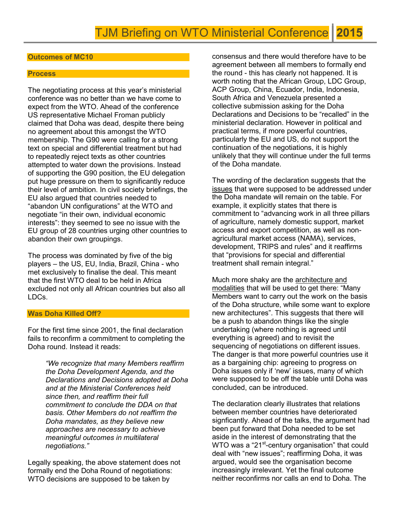## Outcomes of MC10

#### **Process**

The negotiating process at this year's ministerial conference was no better than we have come to expect from the WTO. Ahead of the conference US representative Michael Froman publicly claimed that Doha was dead, despite there being no agreement about this amongst the WTO membership. The G90 were calling for a strong text on special and differential treatment but had to repeatedly reject texts as other countries attempted to water down the provisions. Instead of supporting the G90 position, the EU delegation put huge pressure on them to significantly reduce their level of ambition. In civil society briefings, the EU also argued that countries needed to "abandon UN configurations" at the WTO and negotiate "in their own, individual economic interests": they seemed to see no issue with the EU group of 28 countries urging other countries to abandon their own groupings.

The process was dominated by five of the big players – the US, EU, India, Brazil, China - who met exclusively to finalise the deal. This meant that the first WTO deal to be held in Africa excluded not only all African countries but also all LDCs.

#### Was Doha Killed Off?

For the first time since 2001, the final declaration fails to reconfirm a commitment to completing the Doha round. Instead it reads:

> "We recognize that many Members reaffirm the Doha Development Agenda, and the Declarations and Decisions adopted at Doha and at the Ministerial Conferences held since then, and reaffirm their full commitment to conclude the DDA on that basis. Other Members do not reaffirm the Doha mandates, as they believe new approaches are necessary to achieve meaningful outcomes in multilateral negotiations."

Legally speaking, the above statement does not formally end the Doha Round of negotiations: WTO decisions are supposed to be taken by

consensus and there would therefore have to be agreement between all members to formally end the round - this has clearly not happened. It is worth noting that the African Group, LDC Group, ACP Group, China, Ecuador, India, Indonesia, South Africa and Venezuela presented a collective submission asking for the Doha Declarations and Decisions to be "recalled" in the ministerial declaration. However in political and practical terms, if more powerful countries, particularly the EU and US, do not support the continuation of the negotiations, it is highly unlikely that they will continue under the full terms of the Doha mandate.

The wording of the declaration suggests that the issues that were supposed to be addressed under the Doha mandate will remain on the table. For example, it explicitly states that there is commitment to "advancing work in all three pillars of agriculture, namely domestic support, market access and export competition, as well as nonagricultural market access (NAMA), services, development, TRIPS and rules" and it reaffirms that "provisions for special and differential treatment shall remain integral."

Much more shaky are the architecture and modalities that will be used to get there: "Many Members want to carry out the work on the basis of the Doha structure, while some want to explore new architectures". This suggests that there will be a push to abandon things like the single undertaking (where nothing is agreed until everything is agreed) and to revisit the sequencing of negotiations on different issues. The danger is that more powerful countries use it as a bargaining chip: agreeing to progress on Doha issues only if 'new' issues, many of which were supposed to be off the table until Doha was concluded, can be introduced.

The declaration clearly illustrates that relations between member countries have deteriorated signficantly. Ahead of the talks, the argument had been put forward that Doha needed to be set aside in the interest of demonstrating that the WTO was a "21<sup>st</sup>-century organisation" that could deal with "new issues"; reaffirming Doha, it was argued, would see the organisation become increasingly irrelevant. Yet the final outcome neither reconfirms nor calls an end to Doha. The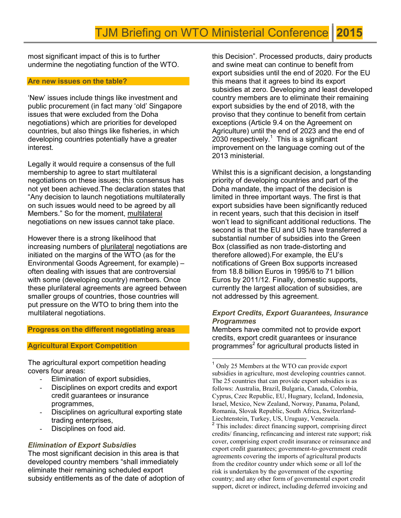most significant impact of this is to further undermine the negotiating function of the WTO.

#### Are new issues on the table?

'New' issues include things like investment and public procurement (in fact many 'old' Singapore issues that were excluded from the Doha negotiations) which are priorities for developed countries, but also things like fisheries, in which developing countries potentially have a greater interest.

Legally it would require a consensus of the full membership to agree to start multilateral negotiations on these issues; this consensus has not yet been achieved.The declaration states that "Any decision to launch negotiations multilaterally on such issues would need to be agreed by all Members." So for the moment, multilateral negotiations on new issues cannot take place.

However there is a strong likelihood that increasing numbers of plurilateral negotiations are initiated on the margins of the WTO (as for the Environmental Goods Agreement, for example) – often dealing with issues that are controversial with some (developing country) members. Once these plurilateral agreements are agreed between smaller groups of countries, those countries will put pressure on the WTO to bring them into the multilateral negotiations.

## Progress on the different negotiating areas

## Agricultural Export Competition

The agricultural export competition heading covers four areas:

- Elimination of export subsidies,
- Disciplines on export credits and export credit guarantees or insurance programmes,
- Disciplines on agricultural exporting state trading enterprises,
- Disciplines on food aid.

## Elimination of Export Subsidies

The most significant decision in this area is that developed country members "shall immediately eliminate their remaining scheduled export subsidy entitlements as of the date of adoption of this Decision". Processed products, dairy products and swine meat can continue to benefit from export subsidies until the end of 2020. For the EU this means that it agrees to bind its export subsidies at zero. Developing and least developed country members are to eliminate their remaining export subsidies by the end of 2018, with the proviso that they continue to benefit from certain exceptions (Article 9.4 on the Agreement on Agriculture) until the end of 2023 and the end of 2030 respectively.<sup>1</sup> This is a significant improvement on the language coming out of the 2013 ministerial.

Whilst this is a significant decision, a longstanding priority of developing countries and part of the Doha mandate, the impact of the decision is limited in three important ways. The first is that export subsidies have been significantly reduced in recent years, such that this decision in itself won't lead to significant additional reductions. The second is that the EU and US have transferred a substantial number of subsidies into the Green Box (classified as non trade-distorting and therefore allowed).For example, the EU's notifications of Green Box supports increased from 18.8 billion Euros in 1995/6 to 71 billion Euros by 2011/12. Finally, domestic supports, currently the largest allocation of subsidies, are not addressed by this agreement.

## Export Credits, Export Guarantees, Insurance **Programmes**

Members have commited not to provide export credits, export credit guarantees or insurance programmes<sup>2</sup> for agricultural products listed in

 $\overline{a}$ 

<sup>&</sup>lt;sup>1</sup> Only 25 Members at the WTO can provide export subsidies in agriculture, most developing countries cannot. The 25 countries that can provide export subsidies is as follows: Australia, Brazil, Bulgaria, Canada, Colombia, Cyprus, Czec Republic, EU, Hugnary, Iceland, Indonesia, Israel, Mexico, New Zealand, Norway, Panama, Poland, Romania, Slovak Republic, South Africa, Switzerland-Liechtenstein, Turkey, US, Uruguay, Venezuela.

<sup>&</sup>lt;sup>2</sup> This includes: direct financing support, comprising direct credits/ financing, refincancing and interest rate support; risk cover, comprising export credit insurance or reinsurance and export credit guarantees; government-to-government credit agreements covering the imports of agricultural products from the creditor country under which some or all lof the risk is undertaken by the government of the exporting country; and any other form of governmental export credit support, dicret or indirect, including deferred invoicing and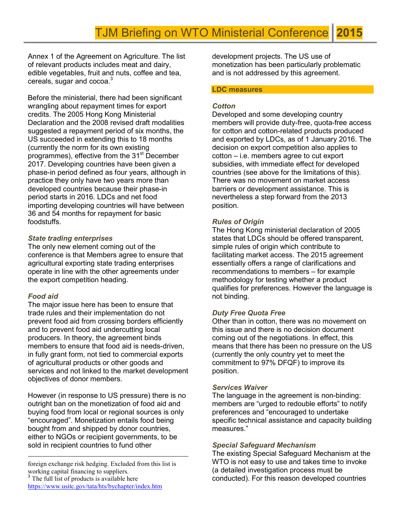Annex 1 of the Agreement on Agriculture. The list of relevant products includes meat and dairy, edible vegetables, fruit and nuts, coffee and tea,  $c$ ereals, sugar and cocoa. $3$ 

Before the ministerial, there had been significant wrangling about repayment times for export credits. The 2005 Hong Kong Ministerial Declaration and the 2008 revised draft modalities suggested a repayment period of six months, the US succeeded in extending this to 18 months (currently the norm for its own existing programmes), effective from the 31<sup>st</sup> December 2017. Developing countries have been given a phase-in period defined as four years, although in practice they only have two years more than developed countries because their phase-in period starts in 2016. LDCs and net food importing developing countries will have between 36 and 54 months for repayment for basic foodstuffs.

# State trading enterprises

The only new element coming out of the conference is that Members agree to ensure that agricultural exporting state trading enterprises operate in line with the other agreements under the export competition heading.

# Food aid

The major issue here has been to ensure that trade rules and their implementation do not prevent food aid from crossing borders efficiently and to prevent food aid undercutting local producers. In theory, the agreement binds members to ensure that food aid is needs-driven, in fully grant form, not tied to commercial exports of agricultural products or other goods and services and not linked to the market development objectives of donor members.

However (in response to US pressure) there is no outright ban on the monetization of food aid and buying food from local or regional sources is only "encouraged". Monetization entails food being bought from and shipped by donor countries, either to NGOs or recipient governments, to be sold in recipient countries to fund other

 $\overline{a}$ foreign exchange risk hedging. Excluded from this list is working capital financing to suppliers. The full list of products is available here https://www.usitc.gov/tata/hts/bychapter/index.htm

development projects. The US use of monetization has been particularly problematic and is not addressed by this agreement.

#### LDC measures

## **Cotton**

Developed and some developing country members will provide duty-free, quota-free access for cotton and cotton-related products produced and exported by LDCs, as of 1 January 2016. The decision on export competition also applies to cotton – i.e. members agree to cut export subsidies, with immediate effect for developed countries (see above for the limitations of this). There was no movement on market access barriers or development assistance. This is nevertheless a step forward from the 2013 position.

## Rules of Origin

The Hong Kong ministerial declaration of 2005 states that LDCs should be offered transparent, simple rules of origin which contribute to facilitating market access. The 2015 agreement essentially offers a range of clarifications and recommendations to members – for example methodology for testing whether a product qualifies for preferences. However the language is not binding.

# Duty Free Quota Free

Other than in cotton, there was no movement on this issue and there is no decision document coming out of the negotiations. In effect, this means that there has been no pressure on the US (currently the only country yet to meet the commitment to 97% DFQF) to improve its position.

## Services Waiver

The language in the agreement is non-binding: members are "urged to redouble efforts" to notify preferences and "encouraged to undertake specific technical assistance and capacity building measures."

## Special Safeguard Mechanism

The existing Special Safeguard Mechanism at the WTO is not easy to use and takes time to invoke (a detailed investigation process must be conducted). For this reason developed countries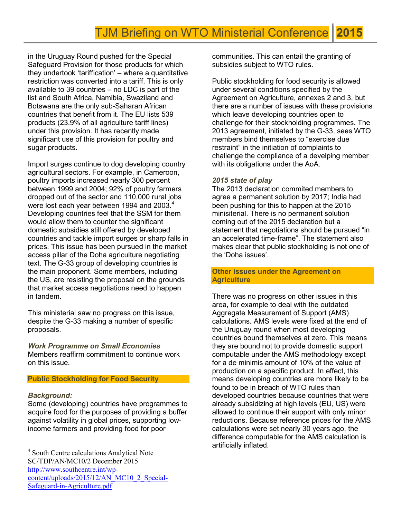in the Uruguay Round pushed for the Special Safeguard Provision for those products for which they undertook 'tariffication' – where a quantitative restriction was converted into a tariff. This is only available to 39 countries – no LDC is part of the list and South Africa, Namibia, Swaziland and Botswana are the only sub-Saharan African countries that benefit from it. The EU lists 539 products (23.9% of all agriculture tariff lines) under this provision. It has recently made significant use of this provision for poultry and sugar products.

Import surges continue to dog developing country agricultural sectors. For example, in Cameroon, poultry imports increased nearly 300 percent between 1999 and 2004; 92% of poultry farmers dropped out of the sector and 110,000 rural jobs were lost each year between 1994 and 2003.<sup>4</sup> Developing countries feel that the SSM for them would allow them to counter the significant domestic subsidies still offered by developed countries and tackle import surges or sharp falls in prices. This issue has been pursued in the market access pillar of the Doha agriculture negotiating text. The G-33 group of developing countries is the main proponent. Some members, including the US, are resisting the proposal on the grounds that market access negotiations need to happen in tandem.

This ministerial saw no progress on this issue, despite the G-33 making a number of specific proposals.

Work Programme on Small Economies Members reaffirm commitment to continue work on this issue.

## Public Stockholding for Food Security

#### Background:

-

Some (developing) countries have programmes to acquire food for the purposes of providing a buffer against volatility in global prices, supporting lowincome farmers and providing food for poor

communities. This can entail the granting of subsidies subject to WTO rules.

Public stockholding for food security is allowed under several conditions specified by the Agreement on Agriculture, annexes 2 and 3, but there are a number of issues with these provisions which leave developing countries open to challenge for their stockholding programmes. The 2013 agreement, initiated by the G-33, sees WTO members bind themselves to "exercise due restraint" in the initiation of complaints to challenge the compliance of a develping member with its obligations under the AoA.

#### 2015 state of play

The 2013 declaration commited members to agree a permanent solution by 2017; India had been pushing for this to happen at the 2015 minisiterial. There is no permanent solution coming out of the 2015 declaration but a statement that negotiations should be pursued "in an accelerated time-frame". The statement also makes clear that public stockholding is not one of the 'Doha issues'.

Other issues under the Agreement on **Agriculture** 

There was no progress on other issues in this area, for example to deal with the outdated Aggregate Measurement of Support (AMS) calculations. AMS levels were fixed at the end of the Uruguay round when most developing countries bound themselves at zero. This means they are bound not to provide domestic support computable under the AMS methodology except for a de minimis amount of 10% of the value of production on a specific product. In effect, this means developing countries are more likely to be found to be in breach of WTO rules than developed countries because countries that were already subsidizing at high levels (EU, US) were allowed to continue their support with only minor reductions. Because reference prices for the AMS calculations were set nearly 30 years ago, the difference computable for the AMS calculation is artificially inflated.

<sup>4</sup> South Centre calculations Analytical Note SC/TDP/AN/MC10/2 December 2015 http://www.southcentre.int/wpcontent/uploads/2015/12/AN\_MC10\_2\_Special-Safeguard-in-Agriculture.pdf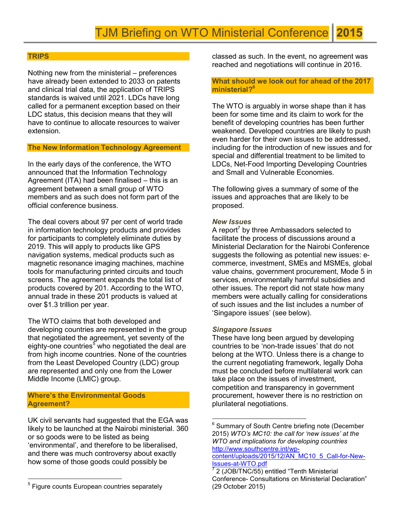#### **TRIPS**

Nothing new from the ministerial – preferences have already been extended to 2033 on patents and clinical trial data, the application of TRIPS standards is waived until 2021. LDCs have long called for a permanent exception based on their LDC status, this decision means that they will have to continue to allocate resources to waiver extension.

# The New Information Technology Agreement

In the early days of the conference, the WTO announced that the Information Technology Agreement (ITA) had been finalised – this is an agreement between a small group of WTO members and as such does not form part of the official conference business.

The deal covers about 97 per cent of world trade in information technology products and provides for participants to completely eliminate duties by 2019. This will apply to products like GPS navigation systems, medical products such as magnetic resonance imaging machines, machine tools for manufacturing printed circuits and touch screens. The agreement expands the total list of products covered by 201. According to the WTO, annual trade in these 201 products is valued at over \$1.3 trillion per year.

The WTO claims that both developed and developing countries are represented in the group that negotiated the agreement, yet seventy of the eighty-one countries<sup>5</sup> who negotiated the deal are from high income countries. None of the countries from the Least Developed Country (LDC) group are represented and only one from the Lower Middle Income (LMIC) group.

## Where's the Environmental Goods Agreement?

UK civil servants had suggested that the EGA was likely to be launched at the Nairobi ministerial. 360 or so goods were to be listed as being 'environmental', and therefore to be liberalised, and there was much controversy about exactly how some of those goods could possibly be

-

classed as such. In the event, no agreement was reached and negotiations will continue in 2016.

### What should we look out for ahead of the 2017 ministerial?<sup>6</sup>

The WTO is arguably in worse shape than it has been for some time and its claim to work for the benefit of developing countries has been further weakened. Developed countries are likely to push even harder for their own issues to be addressed, including for the introduction of new issues and for special and differential treatment to be limited to LDCs, Net-Food Importing Developing Countries and Small and Vulnerable Economies.

The following gives a summary of some of the issues and approaches that are likely to be proposed.

#### New Issues

A report<sup>7</sup> by three Ambassadors selected to facilitate the process of discussions around a Ministerial Declaration for the Nairobi Conference suggests the following as potential new issues: ecommerce, investment, SMEs and MSMEs, global value chains, government procurement, Mode 5 in services, environmentally harmful subsidies and other issues. The report did not state how many members were actually calling for considerations of such issues and the list includes a number of 'Singapore issues' (see below).

#### Singapore Issues

 $\overline{a}$ 

These have long been argued by developing countries to be 'non-trade issues' that do not belong at the WTO. Unless there is a change to the current negotiating framework, legally Doha must be concluded before multilateral work can take place on the issues of investment, competition and transparency in government procurement, however there is no restriction on plurilateral negotiations.

<sup>&</sup>lt;sup>5</sup> Figure counts European countries separately

<sup>&</sup>lt;sup>6</sup> Summary of South Centre briefing note (December 2015) WTO's MC10: the call for 'new issues' at the WTO and implications for developing countries http://www.southcentre.int/wp-

content/uploads/2015/12/AN\_MC10\_5\_Call-for-New-Issues-at-WTO.pdf

<sup>&</sup>lt;sup>7</sup> 2 (JOB/TNC/55) entitled "Tenth Ministerial Conference- Consultations on Ministerial Declaration" (29 October 2015)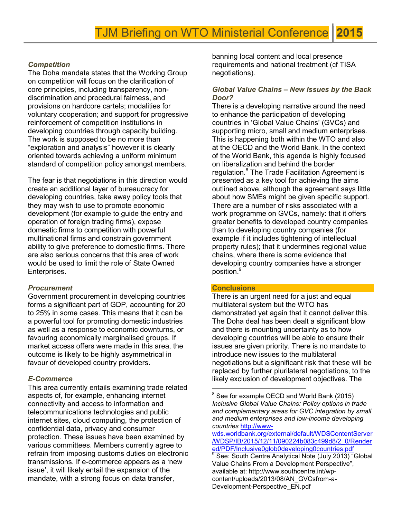# **Competition**

The Doha mandate states that the Working Group on competition will focus on the clarification of core principles, including transparency, nondiscrimination and procedural fairness, and provisions on hardcore cartels; modalities for voluntary cooperation; and support for progressive reinforcement of competition institutions in developing countries through capacity building. The work is supposed to be no more than "exploration and analysis" however it is clearly oriented towards achieving a uniform minimum standard of competition policy amongst members.

The fear is that negotiations in this direction would create an additional layer of bureaucracy for developing countries, take away policy tools that they may wish to use to promote economic development (for example to guide the entry and operation of foreign trading firms), expose domestic firms to competition with powerful multinational firms and constrain government ability to give preference to domestic firms. There are also serious concerns that this area of work would be used to limit the role of State Owned Enterprises.

## **Procurement**

Government procurement in developing countries forms a significant part of GDP, accounting for 20 to 25% in some cases. This means that it can be a powerful tool for promoting domestic industries as well as a response to economic downturns, or favouring economically marginalised groups. If market access offers were made in this area, the outcome is likely to be highly asymmetrical in favour of developed country providers.

# E-Commerce

This area currently entails examining trade related aspects of, for example, enhancing internet connectivity and access to information and telecommunications technologies and public internet sites, cloud computing, the protection of confidential data, privacy and consumer protection. These issues have been examined by various committees. Members currently agree to refrain from imposing customs duties on electronic transmissions. If e-commerce appears as a 'new issue', it will likely entail the expansion of the mandate, with a strong focus on data transfer,

banning local content and local presence requirements and national treatment (cf TISA negotiations).

# Global Value Chains – New Issues by the Back Door?

There is a developing narrative around the need to enhance the participation of developing countries in 'Global Value Chains' (GVCs) and supporting micro, small and medium enterprises. This is happening both within the WTO and also at the OECD and the World Bank. In the context of the World Bank, this agenda is highly focused on liberalization and behind the border regulation.<sup>8</sup> The Trade Facilitation Agreement is presented as a key tool for achieving the aims outlined above, although the agreement says little about how SMEs might be given specific support. There are a number of risks associated with a work programme on GVCs, namely: that it offers greater benefits to developed country companies than to developing country companies (for example if it includes tightening of intellectual property rules); that it undermines regional value chains, where there is some evidence that developing country companies have a stronger position.<sup>9</sup>

## **Conclusions**

 $\overline{a}$ 

There is an urgent need for a just and equal multilateral system but the WTO has demonstrated yet again that it cannot deliver this. The Doha deal has been dealt a significant blow and there is mounting uncertainty as to how developing countries will be able to ensure their issues are given priority. There is no mandate to introduce new issues to the multilateral negotiations but a significant risk that these will be replaced by further plurilateral negotiations, to the likely exclusion of development objectives. The

wds.worldbank.org/external/default/WDSContentServer /WDSP/IB/2015/12/11/090224b083c499d8/2\_0/Render ed/PDF/Inclusive0glob0developing0countries.pdf 9

 $^8$  See for example OECD and World Bank (2015) Inclusive Global Value Chains: Policy options in trade and complementary areas for GVC integration by small and medium enterprises and low-income developing countries http://www-

See: South Centre Analytical Note (July 2013) "Global Value Chains From a Development Perspective", available at: http://www.southcentre.int/wpcontent/uploads/2013/08/AN\_GVCsfrom-a-Development-Perspective\_EN.pdf